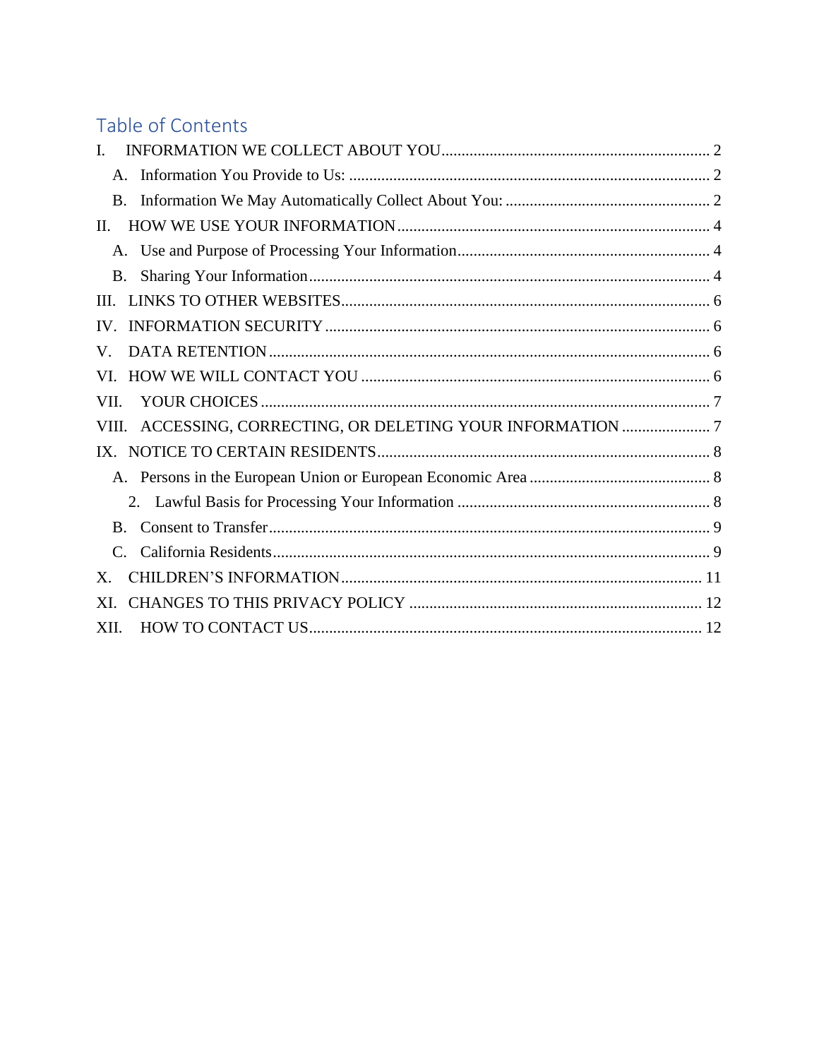# Table of Contents

| L.                                                          |  |
|-------------------------------------------------------------|--|
|                                                             |  |
|                                                             |  |
| П.                                                          |  |
|                                                             |  |
| <b>B.</b>                                                   |  |
| $\Pi$                                                       |  |
|                                                             |  |
| V.                                                          |  |
| VL.                                                         |  |
| VII.                                                        |  |
| VIII. ACCESSING, CORRECTING, OR DELETING YOUR INFORMATION 7 |  |
|                                                             |  |
|                                                             |  |
|                                                             |  |
| $\mathbf{B}$                                                |  |
|                                                             |  |
| X.                                                          |  |
| XI.                                                         |  |
| XII.                                                        |  |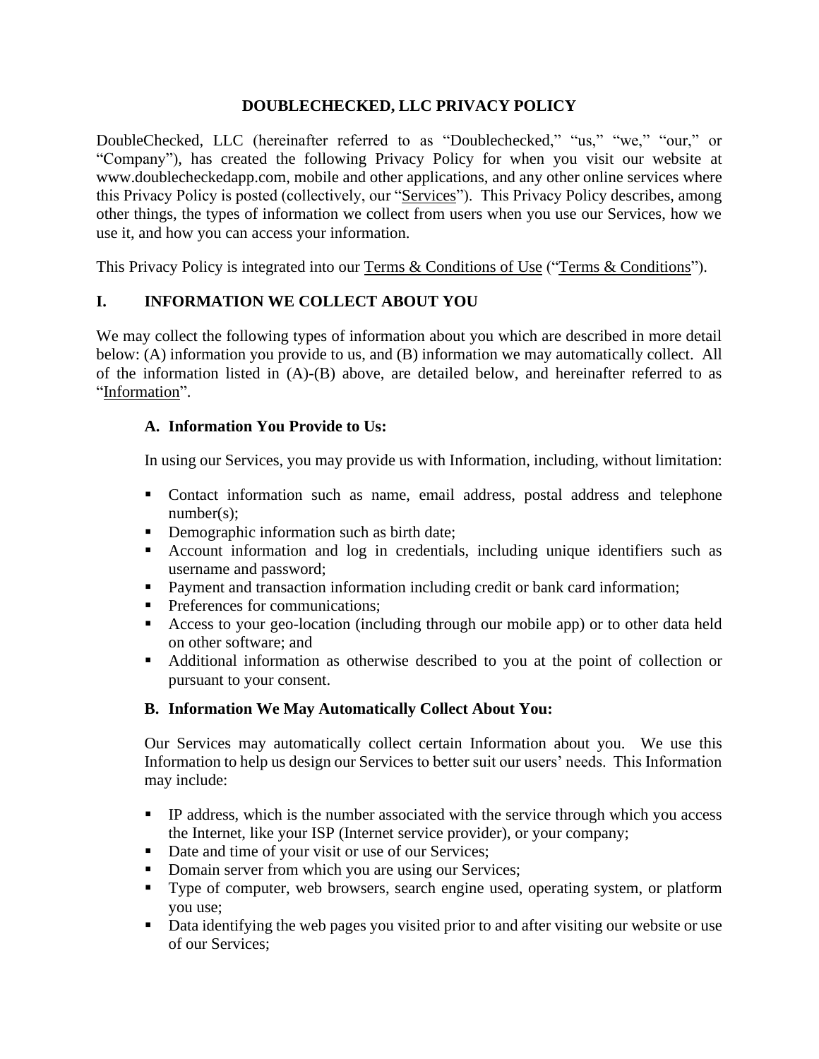### **DOUBLECHECKED, LLC PRIVACY POLICY**

DoubleChecked, LLC (hereinafter referred to as "Doublechecked," "us," "we," "our," or "Company"), has created the following Privacy Policy for when you visit our website at www.doublecheckedapp.com, mobile and other applications, and any other online services where this Privacy Policy is posted (collectively, our "Services"). This Privacy Policy describes, among other things, the types of information we collect from users when you use our Services, how we use it, and how you can access your information.

This Privacy Policy is integrated into our [Terms & Conditions of Use](https://www.doublecheckedapp.com/terms-of-use) ("Terms & Conditions").

# <span id="page-1-0"></span>**I. INFORMATION WE COLLECT ABOUT YOU**

We may collect the following types of information about you which are described in more detail below: (A) information you provide to us, and (B) information we may automatically collect. All of the information listed in (A)-(B) above, are detailed below, and hereinafter referred to as "Information".

# <span id="page-1-1"></span>**A. Information You Provide to Us:**

In using our Services, you may provide us with Information, including, without limitation:

- Contact information such as name, email address, postal address and telephone number(s);
- Demographic information such as birth date;
- Account information and log in credentials, including unique identifiers such as username and password;
- Payment and transaction information including credit or bank card information;
- **•** Preferences for communications;
- Access to your geo-location (including through our mobile app) or to other data held on other software; and
- Additional information as otherwise described to you at the point of collection or pursuant to your consent.

### <span id="page-1-2"></span>**B. Information We May Automatically Collect About You:**

Our Services may automatically collect certain Information about you. We use this Information to help us design our Services to better suit our users' needs. This Information may include:

- **•** IP address, which is the number associated with the service through which you access the Internet, like your ISP (Internet service provider), or your company;
- Date and time of your visit or use of our Services;
- Domain server from which you are using our Services;
- Type of computer, web browsers, search engine used, operating system, or platform you use;
- Data identifying the web pages you visited prior to and after visiting our website or use of our Services;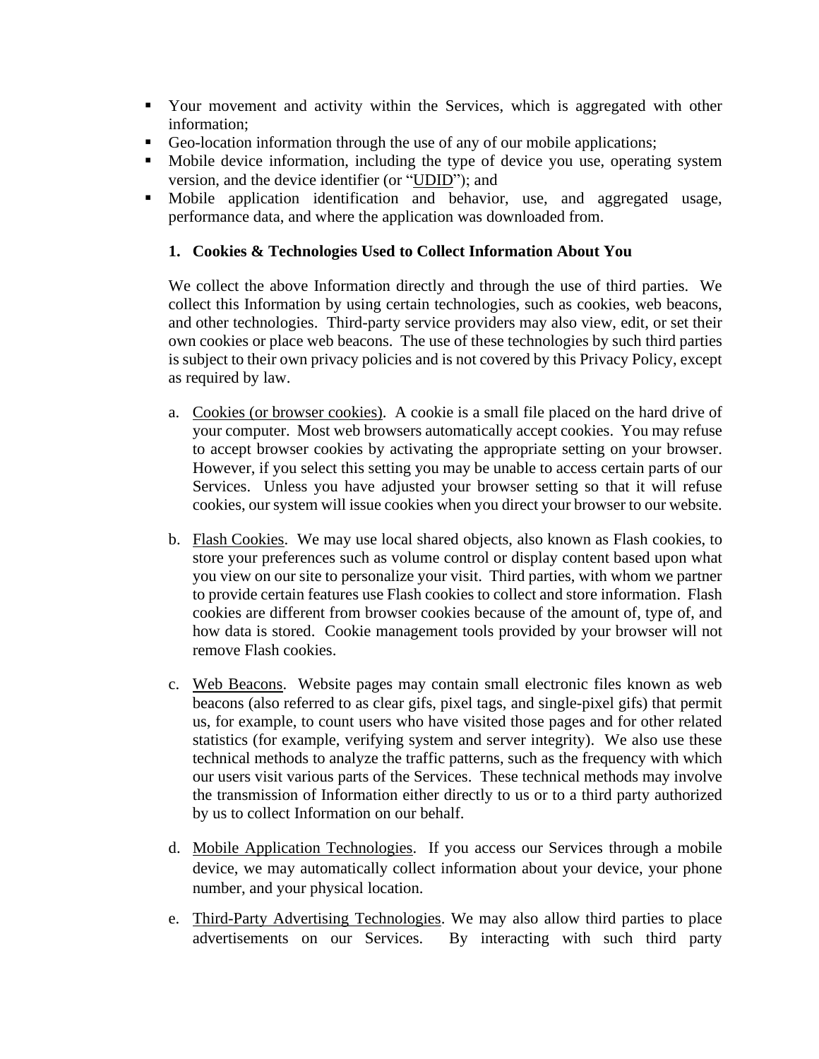- Your movement and activity within the Services, which is aggregated with other information;
- Geo-location information through the use of any of our mobile applications;
- Mobile device information, including the type of device you use, operating system version, and the device identifier (or "UDID"); and
- Mobile application identification and behavior, use, and aggregated usage, performance data, and where the application was downloaded from.

### **1. Cookies & Technologies Used to Collect Information About You**

We collect the above Information directly and through the use of third parties. We collect this Information by using certain technologies, such as cookies, web beacons, and other technologies. Third-party service providers may also view, edit, or set their own cookies or place web beacons. The use of these technologies by such third parties is subject to their own privacy policies and is not covered by this Privacy Policy, except as required by law.

- a. Cookies (or browser cookies). A cookie is a small file placed on the hard drive of your computer. Most web browsers automatically accept cookies. You may refuse to accept browser cookies by activating the appropriate setting on your browser. However, if you select this setting you may be unable to access certain parts of our Services. Unless you have adjusted your browser setting so that it will refuse cookies, our system will issue cookies when you direct your browser to our website.
- b. Flash Cookies. We may use local shared objects, also known as Flash cookies, to store your preferences such as volume control or display content based upon what you view on our site to personalize your visit. Third parties, with whom we partner to provide certain features use Flash cookies to collect and store information. Flash cookies are different from browser cookies because of the amount of, type of, and how data is stored. Cookie management tools provided by your browser will not remove Flash cookies.
- c. Web Beacons. Website pages may contain small electronic files known as web beacons (also referred to as clear gifs, pixel tags, and single-pixel gifs) that permit us, for example, to count users who have visited those pages and for other related statistics (for example, verifying system and server integrity). We also use these technical methods to analyze the traffic patterns, such as the frequency with which our users visit various parts of the Services. These technical methods may involve the transmission of Information either directly to us or to a third party authorized by us to collect Information on our behalf.
- d. Mobile Application Technologies. If you access our Services through a mobile device, we may automatically collect information about your device, your phone number, and your physical location.
- e. Third-Party Advertising Technologies. We may also allow third parties to place advertisements on our Services. By interacting with such third party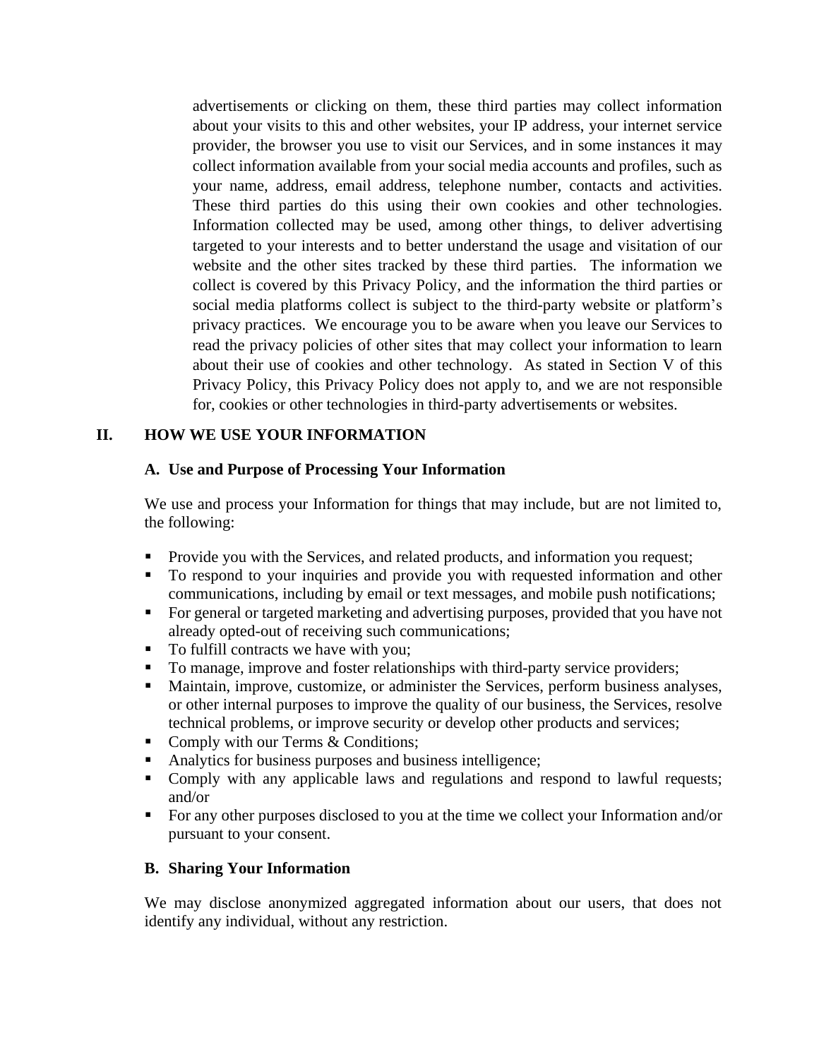advertisements or clicking on them, these third parties may collect information about your visits to this and other websites, your IP address, your internet service provider, the browser you use to visit our Services, and in some instances it may collect information available from your social media accounts and profiles, such as your name, address, email address, telephone number, contacts and activities. These third parties do this using their own cookies and other technologies. Information collected may be used, among other things, to deliver advertising targeted to your interests and to better understand the usage and visitation of our website and the other sites tracked by these third parties. The information we collect is covered by this Privacy Policy, and the information the third parties or social media platforms collect is subject to the third-party website or platform's privacy practices. We encourage you to be aware when you leave our Services to read the privacy policies of other sites that may collect your information to learn about their use of cookies and other technology. As stated in Section V of this Privacy Policy, this Privacy Policy does not apply to, and we are not responsible for, cookies or other technologies in third-party advertisements or websites.

# <span id="page-3-1"></span><span id="page-3-0"></span>**II. HOW WE USE YOUR INFORMATION**

#### **A. Use and Purpose of Processing Your Information**

We use and process your Information for things that may include, but are not limited to, the following:

- Provide you with the Services, and related products, and information you request;
- To respond to your inquiries and provide you with requested information and other communications, including by email or text messages, and mobile push notifications;
- For general or targeted marketing and advertising purposes, provided that you have not already opted-out of receiving such communications;
- To fulfill contracts we have with you;
- To manage, improve and foster relationships with third-party service providers;
- Maintain, improve, customize, or administer the Services, perform business analyses, or other internal purposes to improve the quality of our business, the Services, resolve technical problems, or improve security or develop other products and services;
- Comply with our Terms & Conditions;
- Analytics for business purposes and business intelligence;
- Comply with any applicable laws and regulations and respond to lawful requests; and/or
- For any other purposes disclosed to you at the time we collect your Information and/or pursuant to your consent.

### <span id="page-3-2"></span>**B. Sharing Your Information**

We may disclose anonymized aggregated information about our users, that does not identify any individual, without any restriction.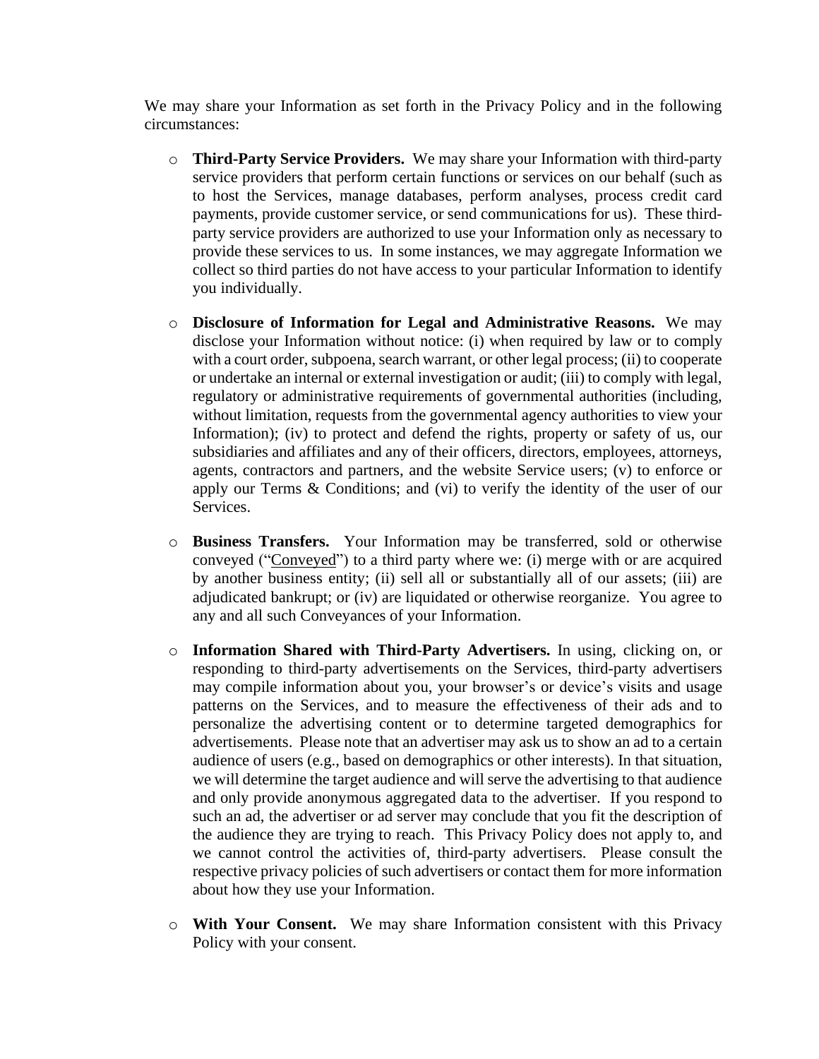We may share your Information as set forth in the Privacy Policy and in the following circumstances:

- o **Third-Party Service Providers.** We may share your Information with third-party service providers that perform certain functions or services on our behalf (such as to host the Services, manage databases, perform analyses, process credit card payments, provide customer service, or send communications for us). These thirdparty service providers are authorized to use your Information only as necessary to provide these services to us. In some instances, we may aggregate Information we collect so third parties do not have access to your particular Information to identify you individually.
- o **Disclosure of Information for Legal and Administrative Reasons.** We may disclose your Information without notice: (i) when required by law or to comply with a court order, subpoena, search warrant, or other legal process; (ii) to cooperate or undertake an internal or external investigation or audit; (iii) to comply with legal, regulatory or administrative requirements of governmental authorities (including, without limitation, requests from the governmental agency authorities to view your Information); (iv) to protect and defend the rights, property or safety of us, our subsidiaries and affiliates and any of their officers, directors, employees, attorneys, agents, contractors and partners, and the website Service users; (v) to enforce or apply our Terms & Conditions; and (vi) to verify the identity of the user of our Services.
- o **Business Transfers.** Your Information may be transferred, sold or otherwise conveyed ("Conveyed") to a third party where we: (i) merge with or are acquired by another business entity; (ii) sell all or substantially all of our assets; (iii) are adjudicated bankrupt; or (iv) are liquidated or otherwise reorganize. You agree to any and all such Conveyances of your Information.
- o **Information Shared with Third-Party Advertisers.** In using, clicking on, or responding to third-party advertisements on the Services, third-party advertisers may compile information about you, your browser's or device's visits and usage patterns on the Services, and to measure the effectiveness of their ads and to personalize the advertising content or to determine targeted demographics for advertisements. Please note that an advertiser may ask us to show an ad to a certain audience of users (e.g., based on demographics or other interests). In that situation, we will determine the target audience and will serve the advertising to that audience and only provide anonymous aggregated data to the advertiser. If you respond to such an ad, the advertiser or ad server may conclude that you fit the description of the audience they are trying to reach. This Privacy Policy does not apply to, and we cannot control the activities of, third-party advertisers. Please consult the respective privacy policies of such advertisers or contact them for more information about how they use your Information.
- o **With Your Consent.** We may share Information consistent with this Privacy Policy with your consent.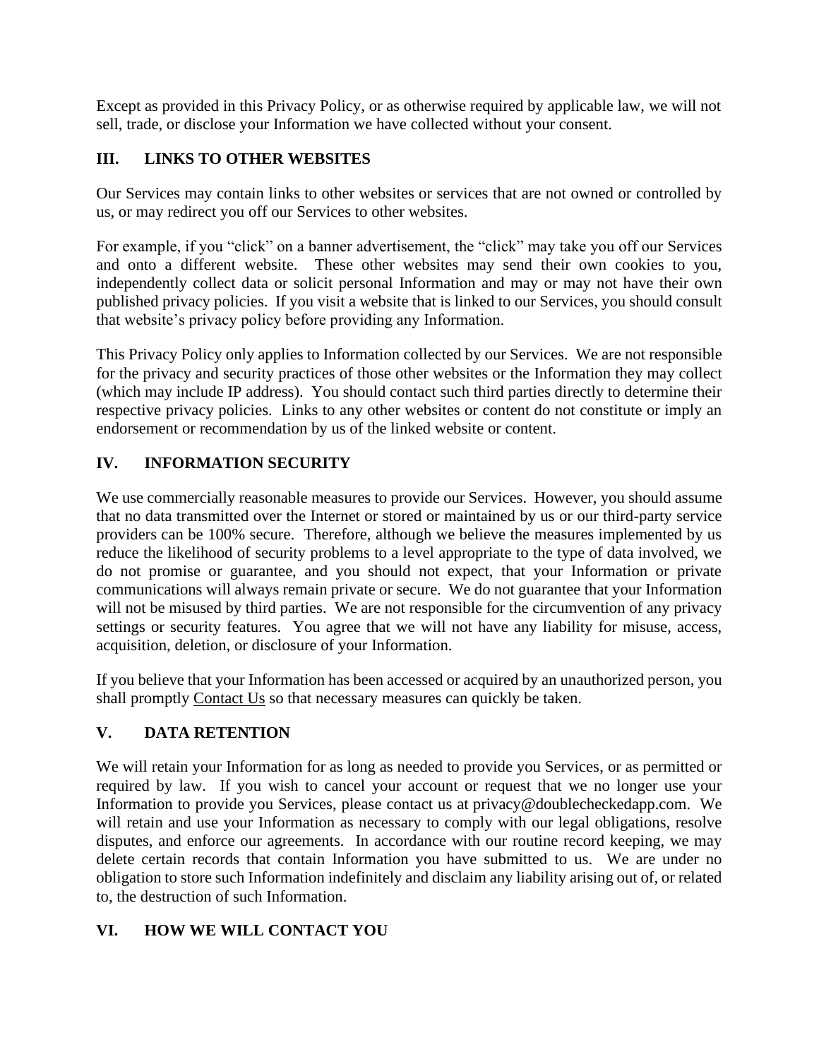Except as provided in this Privacy Policy, or as otherwise required by applicable law, we will not sell, trade, or disclose your Information we have collected without your consent.

# <span id="page-5-0"></span>**III. LINKS TO OTHER WEBSITES**

Our Services may contain links to other websites or services that are not owned or controlled by us, or may redirect you off our Services to other websites.

For example, if you "click" on a banner advertisement, the "click" may take you off our Services and onto a different website. These other websites may send their own cookies to you, independently collect data or solicit personal Information and may or may not have their own published privacy policies. If you visit a website that is linked to our Services, you should consult that website's privacy policy before providing any Information.

This Privacy Policy only applies to Information collected by our Services. We are not responsible for the privacy and security practices of those other websites or the Information they may collect (which may include IP address). You should contact such third parties directly to determine their respective privacy policies. Links to any other websites or content do not constitute or imply an endorsement or recommendation by us of the linked website or content.

# <span id="page-5-1"></span>**IV. INFORMATION SECURITY**

We use commercially reasonable measures to provide our Services. However, you should assume that no data transmitted over the Internet or stored or maintained by us or our third-party service providers can be 100% secure. Therefore, although we believe the measures implemented by us reduce the likelihood of security problems to a level appropriate to the type of data involved, we do not promise or guarantee, and you should not expect, that your Information or private communications will always remain private or secure. We do not guarantee that your Information will not be misused by third parties. We are not responsible for the circumvention of any privacy settings or security features. You agree that we will not have any liability for misuse, access, acquisition, deletion, or disclosure of your Information.

If you believe that your Information has been accessed or acquired by an unauthorized person, you shall promptly [Contact Us](https://www.doublecheckedapp.com/contact) so that necessary measures can quickly be taken.

# <span id="page-5-2"></span>**V. DATA RETENTION**

We will retain your Information for as long as needed to provide you Services, or as permitted or required by law. If you wish to cancel your account or request that we no longer use your Information to provide you Services, please contact us at [privacy@](mailto:billsprivacy@bills.nfl.net)doublecheckedapp.com. We will retain and use your Information as necessary to comply with our legal obligations, resolve disputes, and enforce our agreements. In accordance with our routine record keeping, we may delete certain records that contain Information you have submitted to us. We are under no obligation to store such Information indefinitely and disclaim any liability arising out of, or related to, the destruction of such Information.

# <span id="page-5-3"></span>**VI. HOW WE WILL CONTACT YOU**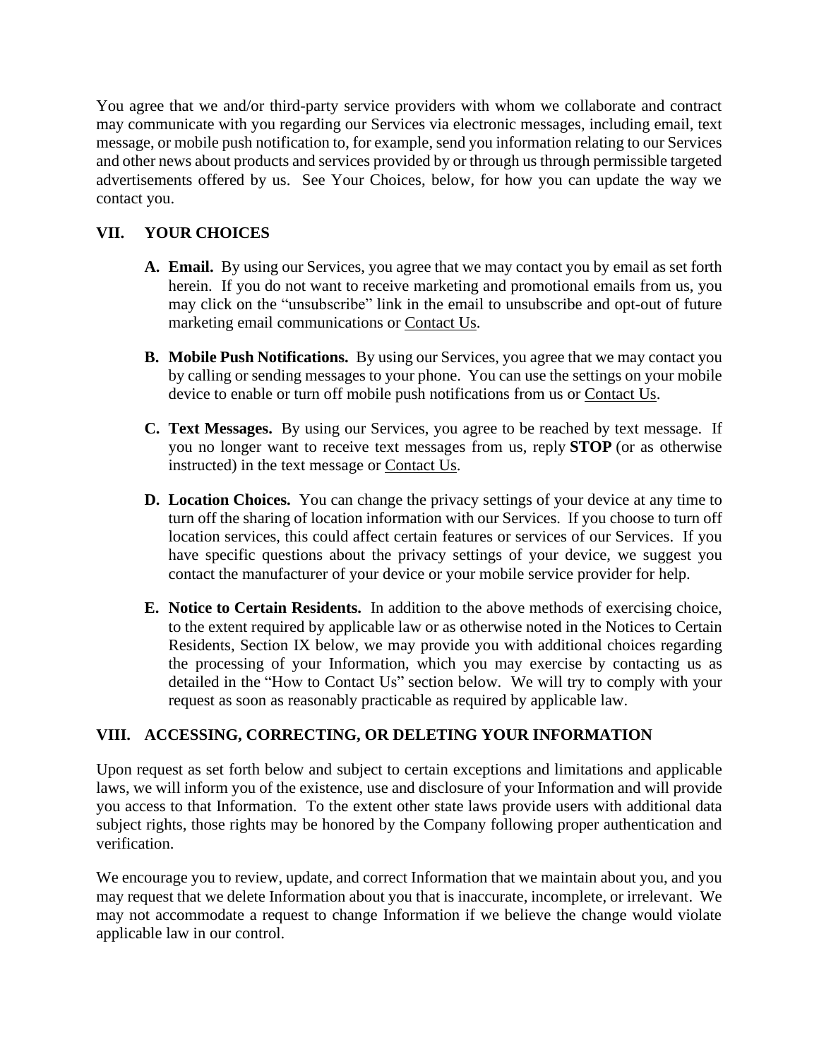You agree that we and/or third-party service providers with whom we collaborate and contract may communicate with you regarding our Services via electronic messages, including email, text message, or mobile push notification to, for example, send you information relating to our Services and other news about products and services provided by or through us through permissible targeted advertisements offered by us. See Your Choices, below, for how you can update the way we contact you.

# <span id="page-6-0"></span>**VII. YOUR CHOICES**

- **A. Email.** By using our Services, you agree that we may contact you by email as set forth herein. If you do not want to receive marketing and promotional emails from us, you may click on the "unsubscribe" link in the email to unsubscribe and opt-out of future marketing email communications or [Contact](https://www.doublecheckedapp.com/contact) Us.
- **B. Mobile Push Notifications.** By using our Services, you agree that we may contact you by calling or sending messages to your phone.You can use the settings on your mobile device to enable or turn off mobile push notifications from us or [Contact](https://www.doublecheckedapp.com/contact) Us.
- **C. Text Messages.** By using our Services, you agree to be reached by text message. If you no longer want to receive text messages from us, reply **STOP** (or as otherwise instructed) in the text message or [Contact](https://www.doublecheckedapp.com/contact) Us.
- **D. Location Choices.** You can change the privacy settings of your device at any time to turn off the sharing of location information with our Services. If you choose to turn off location services, this could affect certain features or services of our Services. If you have specific questions about the privacy settings of your device, we suggest you contact the manufacturer of your device or your mobile service provider for help.
- **E. Notice to Certain Residents.** In addition to the above methods of exercising choice, to the extent required by applicable law or as otherwise noted in the Notices to Certain Residents, Section IX below, we may provide you with additional choices regarding the processing of your Information, which you may exercise by contacting us as detailed in the "How to Contact Us" section below. We will try to comply with your request as soon as reasonably practicable as required by applicable law.

# <span id="page-6-1"></span>**VIII. ACCESSING, CORRECTING, OR DELETING YOUR INFORMATION**

Upon request as set forth below and subject to certain exceptions and limitations and applicable laws, we will inform you of the existence, use and disclosure of your Information and will provide you access to that Information. To the extent other state laws provide users with additional data subject rights, those rights may be honored by the Company following proper authentication and verification.

We encourage you to review, update, and correct Information that we maintain about you, and you may request that we delete Information about you that is inaccurate, incomplete, or irrelevant. We may not accommodate a request to change Information if we believe the change would violate applicable law in our control.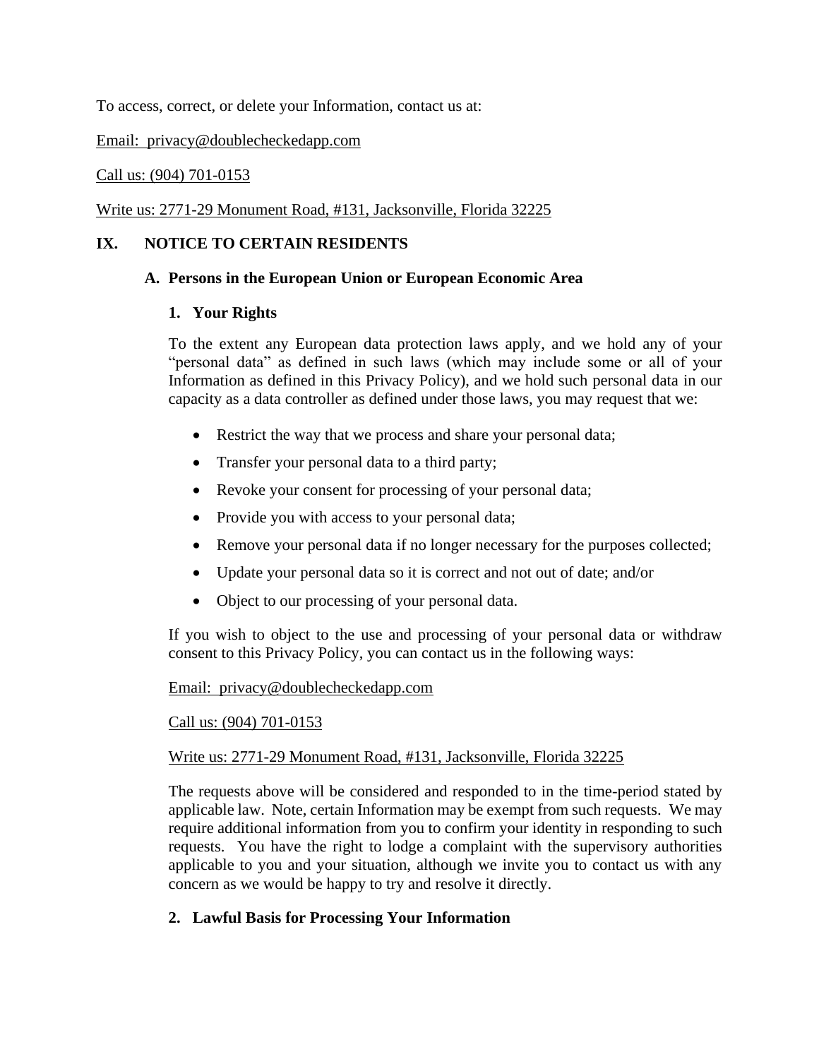To access, correct, or delete your Information, contact us at:

Email: privacy@doublecheckedapp.com

#### Call us: (904) 701-0153

#### Write us: 2771-29 Monument Road, #131, Jacksonville, Florida 32225

#### <span id="page-7-1"></span><span id="page-7-0"></span>**IX. NOTICE TO CERTAIN RESIDENTS**

#### **A. Persons in the European Union or European Economic Area**

#### **1. Your Rights**

To the extent any European data protection laws apply, and we hold any of your "personal data" as defined in such laws (which may include some or all of your Information as defined in this Privacy Policy), and we hold such personal data in our capacity as a data controller as defined under those laws, you may request that we:

- Restrict the way that we process and share your personal data;
- Transfer your personal data to a third party;
- Revoke your consent for processing of your personal data;
- Provide you with access to your personal data;
- Remove your personal data if no longer necessary for the purposes collected;
- Update your personal data so it is correct and not out of date; and/or
- Object to our processing of your personal data.

If you wish to object to the use and processing of your personal data or withdraw consent to this Privacy Policy, you can contact us in the following ways:

#### Email: privacy@doublecheckedapp.com

#### Call us: (904) 701-0153

#### Write us: 2771-29 Monument Road, #131, Jacksonville, Florida 32225

The requests above will be considered and responded to in the time-period stated by applicable law. Note, certain Information may be exempt from such requests. We may require additional information from you to confirm your identity in responding to such requests. You have the right to lodge a complaint with the supervisory authorities applicable to you and your situation, although we invite you to contact us with any concern as we would be happy to try and resolve it directly.

#### <span id="page-7-2"></span>**2. Lawful Basis for Processing Your Information**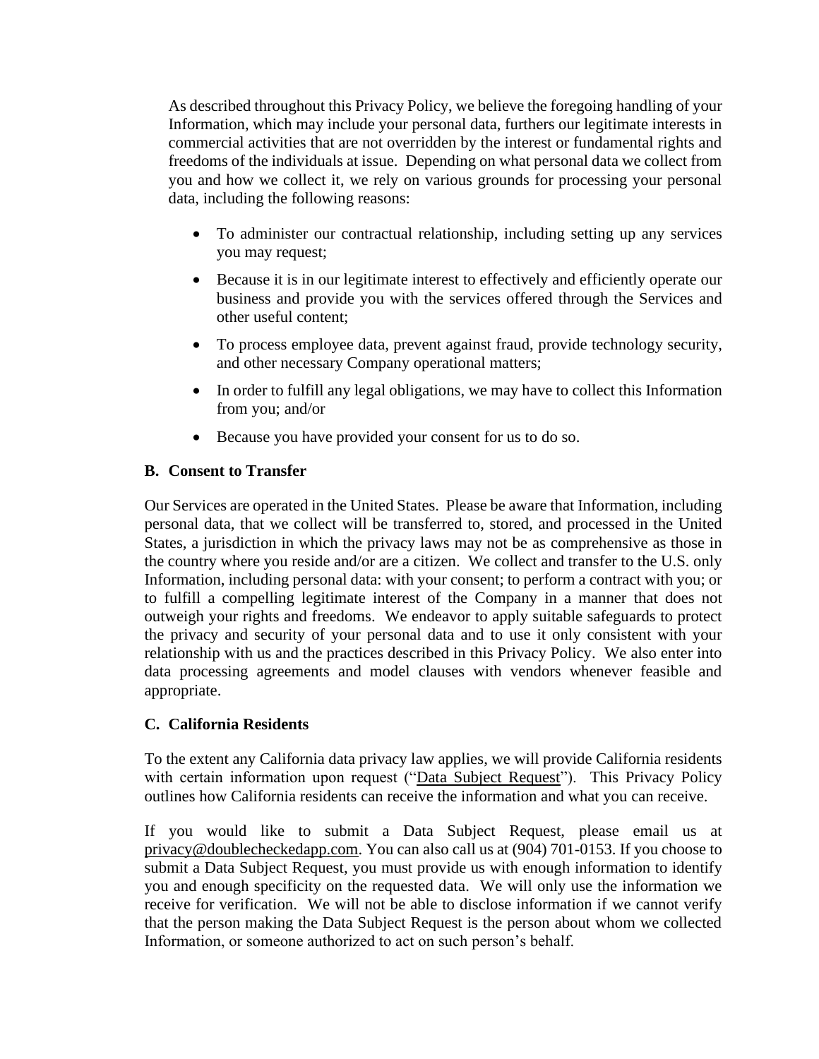As described throughout this Privacy Policy, we believe the foregoing handling of your Information, which may include your personal data, furthers our legitimate interests in commercial activities that are not overridden by the interest or fundamental rights and freedoms of the individuals at issue. Depending on what personal data we collect from you and how we collect it, we rely on various grounds for processing your personal data, including the following reasons:

- To administer our contractual relationship, including setting up any services you may request;
- Because it is in our legitimate interest to effectively and efficiently operate our business and provide you with the services offered through the Services and other useful content;
- To process employee data, prevent against fraud, provide technology security, and other necessary Company operational matters;
- In order to fulfill any legal obligations, we may have to collect this Information from you; and/or
- Because you have provided your consent for us to do so.

# <span id="page-8-0"></span>**B. Consent to Transfer**

Our Services are operated in the United States. Please be aware that Information, including personal data, that we collect will be transferred to, stored, and processed in the United States, a jurisdiction in which the privacy laws may not be as comprehensive as those in the country where you reside and/or are a citizen. We collect and transfer to the U.S. only Information, including personal data: with your consent; to perform a contract with you; or to fulfill a compelling legitimate interest of the Company in a manner that does not outweigh your rights and freedoms. We endeavor to apply suitable safeguards to protect the privacy and security of your personal data and to use it only consistent with your relationship with us and the practices described in this Privacy Policy. We also enter into data processing agreements and model clauses with vendors whenever feasible and appropriate.

### <span id="page-8-1"></span>**C. California Residents**

To the extent any California data privacy law applies, we will provide California residents with certain information upon request ("Data Subject Request"). This Privacy Policy outlines how California residents can receive the information and what you can receive.

If you would like to submit a Data Subject Request, please email us at [privacy@doublecheckedapp.com.](mailto:privacy@doublecheckedapp.com) You can also call us at (904) 701-0153. If you choose to submit a Data Subject Request, you must provide us with enough information to identify you and enough specificity on the requested data. We will only use the information we receive for verification. We will not be able to disclose information if we cannot verify that the person making the Data Subject Request is the person about whom we collected Information, or someone authorized to act on such person's behalf.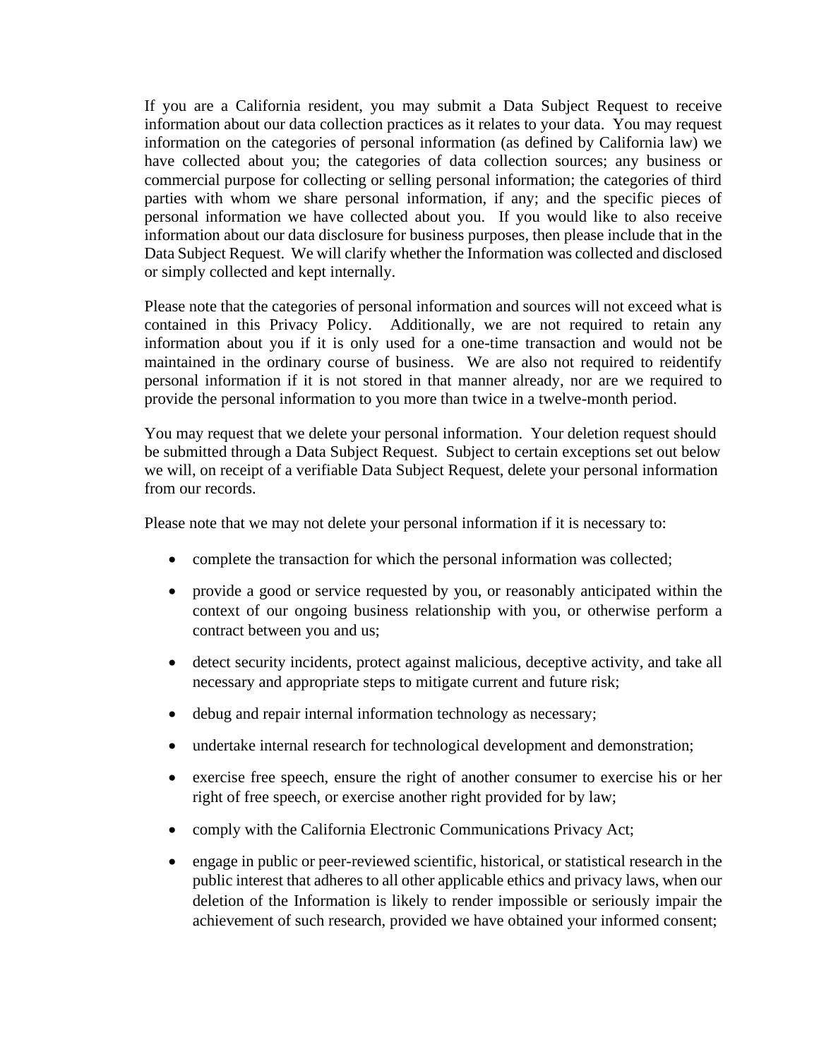If you are a California resident, you may submit a Data Subject Request to receive information about our data collection practices as it relates to your data. You may request information on the categories of personal information (as defined by California law) we have collected about you; the categories of data collection sources; any business or commercial purpose for collecting or selling personal information; the categories of third parties with whom we share personal information, if any; and the specific pieces of personal information we have collected about you. If you would like to also receive information about our data disclosure for business purposes, then please include that in the Data Subject Request. We will clarify whether the Information was collected and disclosed or simply collected and kept internally.

Please note that the categories of personal information and sources will not exceed what is contained in this Privacy Policy. Additionally, we are not required to retain any information about you if it is only used for a one-time transaction and would not be maintained in the ordinary course of business. We are also not required to reidentify personal information if it is not stored in that manner already, nor are we required to provide the personal information to you more than twice in a twelve-month period.

You may request that we delete your personal information. Your deletion request should be submitted through a Data Subject Request. Subject to certain exceptions set out below we will, on receipt of a verifiable Data Subject Request, delete your personal information from our records.

Please note that we may not delete your personal information if it is necessary to:

- complete the transaction for which the personal information was collected;
- provide a good or service requested by you, or reasonably anticipated within the context of our ongoing business relationship with you, or otherwise perform a contract between you and us;
- detect security incidents, protect against malicious, deceptive activity, and take all necessary and appropriate steps to mitigate current and future risk;
- debug and repair internal information technology as necessary;
- undertake internal research for technological development and demonstration;
- exercise free speech, ensure the right of another consumer to exercise his or her right of free speech, or exercise another right provided for by law;
- comply with the California Electronic Communications Privacy Act;
- engage in public or peer-reviewed scientific, historical, or statistical research in the public interest that adheres to all other applicable ethics and privacy laws, when our deletion of the Information is likely to render impossible or seriously impair the achievement of such research, provided we have obtained your informed consent;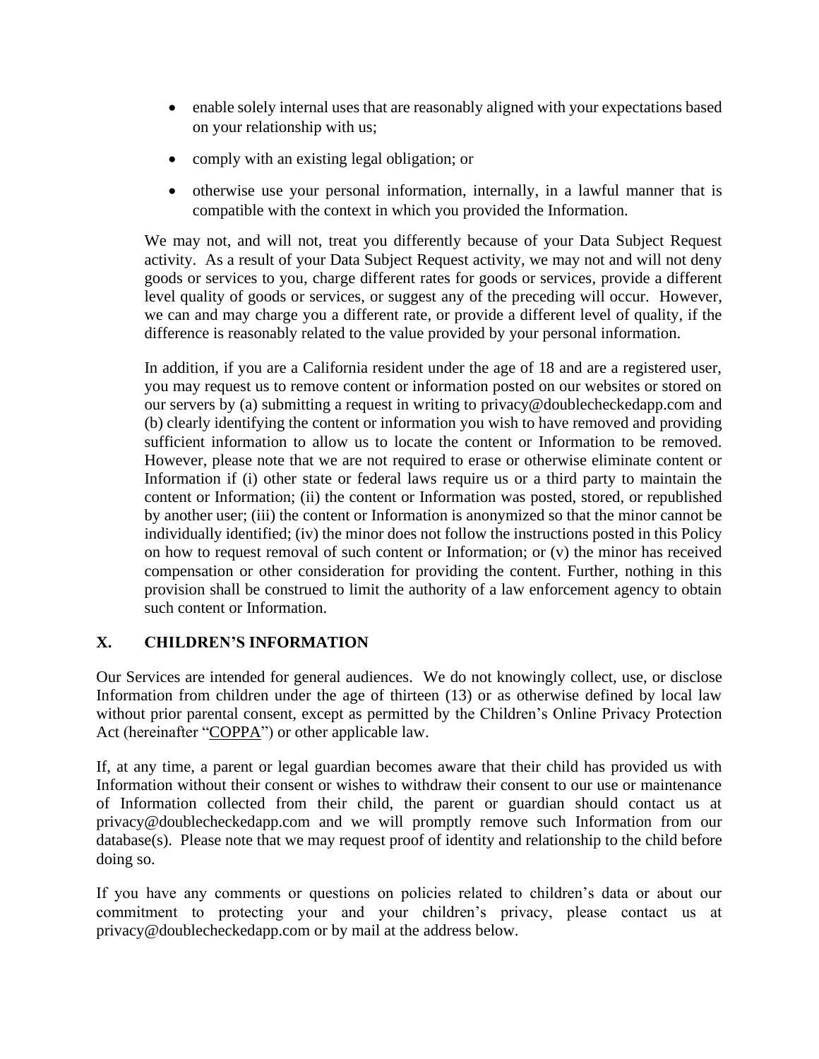- enable solely internal uses that are reasonably aligned with your expectations based on your relationship with us;
- comply with an existing legal obligation; or
- otherwise use your personal information, internally, in a lawful manner that is compatible with the context in which you provided the Information.

We may not, and will not, treat you differently because of your Data Subject Request activity. As a result of your Data Subject Request activity, we may not and will not deny goods or services to you, charge different rates for goods or services, provide a different level quality of goods or services, or suggest any of the preceding will occur. However, we can and may charge you a different rate, or provide a different level of quality, if the difference is reasonably related to the value provided by your personal information.

In addition, if you are a California resident under the age of 18 and are a registered user, you may request us to remove content or information posted on our websites or stored on our servers by (a) submitting a request in writing to privacy@doublecheckedapp.com and (b) clearly identifying the content or information you wish to have removed and providing sufficient information to allow us to locate the content or Information to be removed. However, please note that we are not required to erase or otherwise eliminate content or Information if (i) other state or federal laws require us or a third party to maintain the content or Information; (ii) the content or Information was posted, stored, or republished by another user; (iii) the content or Information is anonymized so that the minor cannot be individually identified; (iv) the minor does not follow the instructions posted in this Policy on how to request removal of such content or Information; or (v) the minor has received compensation or other consideration for providing the content. Further, nothing in this provision shall be construed to limit the authority of a law enforcement agency to obtain such content or Information.

### <span id="page-10-0"></span>**X. CHILDREN'S INFORMATION**

Our Services are intended for general audiences. We do not knowingly collect, use, or disclose Information from children under the age of thirteen (13) or as otherwise defined by local law without prior parental consent, except as permitted by the Children's Online Privacy Protection Act (hereinafter "COPPA") or other applicable law.

If, at any time, a parent or legal guardian becomes aware that their child has provided us with Information without their consent or wishes to withdraw their consent to our use or maintenance of Information collected from their child, the parent or guardian should contact us at privacy@doublecheckedapp.com and we will promptly remove such Information from our database(s). Please note that we may request proof of identity and relationship to the child before doing so.

If you have any comments or questions on policies related to children's data or about our commitment to protecting your and your children's privacy, please contact us at privacy@doublecheckedapp.com or by mail at the address below.